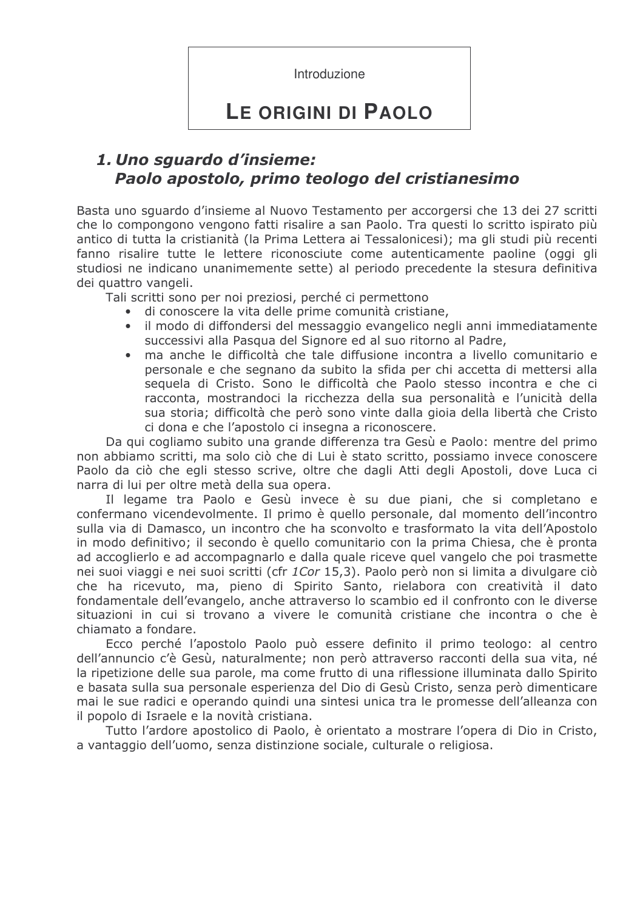Introduzione

# LE ORIGINI DI PAOLO

## 1. Uno squardo d'insieme: Paolo apostolo, primo teologo del cristianesimo

Basta uno squardo d'insieme al Nuovo Testamento per accorgersi che 13 dei 27 scritti che lo compongono vengono fatti risalire a san Paolo. Tra questi lo scritto ispirato più antico di tutta la cristianità (la Prima Lettera ai Tessalonicesi); ma gli studi più recenti fanno risalire tutte le lettere riconosciute come autenticamente paoline (oggi gli studiosi ne indicano unanimemente sette) al periodo precedente la stesura definitiva dei quattro vangeli.

Tali scritti sono per noi preziosi, perché ci permettono

- $\bullet$ di conoscere la vita delle prime comunità cristiane,
- il modo di diffondersi del messaggio evangelico negli anni immediatamente successivi alla Pasqua del Signore ed al suo ritorno al Padre,
- ma anche le difficoltà che tale diffusione incontra a livello comunitario e personale e che segnano da subito la sfida per chi accetta di mettersi alla sequela di Cristo. Sono le difficoltà che Paolo stesso incontra e che ci racconta, mostrandoci la ricchezza della sua personalità e l'unicità della sua storia; difficoltà che però sono vinte dalla gioia della libertà che Cristo ci dona e che l'apostolo ci insegna a riconoscere.

Da qui cogliamo subito una grande differenza tra Gesù e Paolo: mentre del primo non abbiamo scritti, ma solo ciò che di Lui è stato scritto, possiamo invece conoscere Paolo da ciò che egli stesso scrive, oltre che dagli Atti degli Apostoli, dove Luca ci narra di lui per oltre metà della sua opera.

Il legame tra Paolo e Gesù invece è su due piani, che si completano e confermano vicendevolmente. Il primo è quello personale, dal momento dell'incontro sulla via di Damasco, un incontro che ha sconvolto e trasformato la vita dell'Apostolo in modo definitivo; il secondo è quello comunitario con la prima Chiesa, che è pronta ad accoglierlo e ad accompagnarlo e dalla quale riceve quel vangelo che poi trasmette nei suoi viaggi e nei suoi scritti (cfr 1Cor 15,3). Paolo però non si limita a divulgare ciò che ha ricevuto, ma, pieno di Spirito Santo, rielabora con creatività il dato fondamentale dell'evangelo, anche attraverso lo scambio ed il confronto con le diverse situazioni in cui si trovano a vivere le comunità cristiane che incontra o che è chiamato a fondare.

Ecco perché l'apostolo Paolo può essere definito il primo teologo: al centro dell'annuncio c'è Gesù, naturalmente; non però attraverso racconti della sua vita, né la ripetizione delle sua parole, ma come frutto di una riflessione illuminata dallo Spirito e basata sulla sua personale esperienza del Dio di Gesù Cristo, senza però dimenticare mai le sue radici e operando quindi una sintesi unica tra le promesse dell'alleanza con il popolo di Israele e la novità cristiana.

Tutto l'ardore apostolico di Paolo, è orientato a mostrare l'opera di Dio in Cristo, a vantaggio dell'uomo, senza distinzione sociale, culturale o religiosa.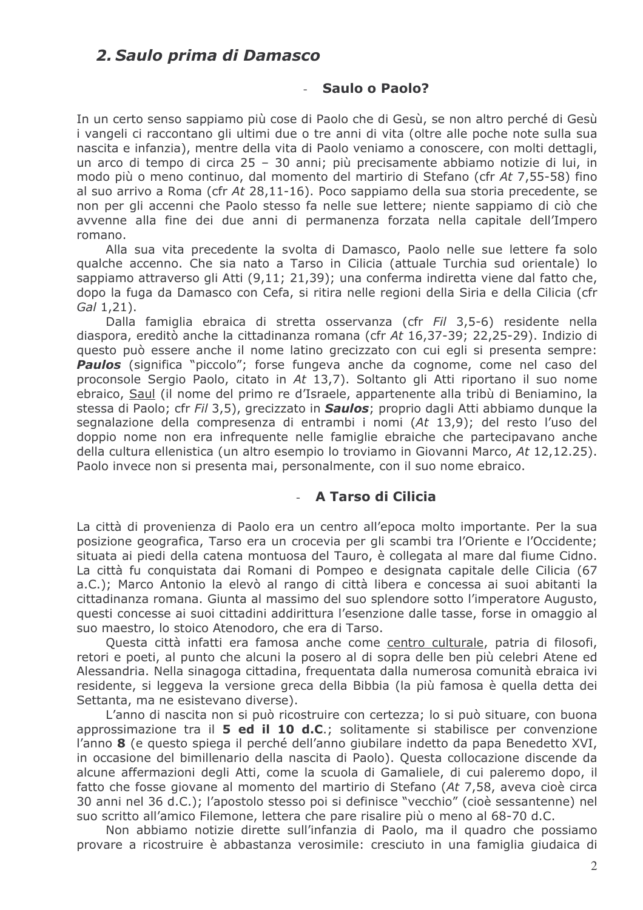### 2. Saulo prima di Damasco

### **Saulo o Paolo?**

In un certo senso sappiamo più cose di Paolo che di Gesù, se non altro perché di Gesù i vangeli ci raccontano gli ultimi due o tre anni di vita (oltre alle poche note sulla sua nascita e infanzia), mentre della vita di Paolo veniamo a conoscere, con molti dettagli, un arco di tempo di circa 25 - 30 anni; più precisamente abbiamo notizie di lui, in modo più o meno continuo, dal momento del martirio di Stefano (cfr At 7,55-58) fino al suo arrivo a Roma (cfr At 28,11-16). Poco sappiamo della sua storia precedente, se non per gli accenni che Paolo stesso fa nelle sue lettere; niente sappiamo di ciò che avvenne alla fine dei due anni di permanenza forzata nella capitale dell'Impero romano.

Alla sua vita precedente la svolta di Damasco, Paolo nelle sue lettere fa solo gualche accenno. Che sia nato a Tarso in Cilicia (attuale Turchia sud orientale) lo sappiamo attraverso gli Atti (9,11; 21,39); una conferma indiretta viene dal fatto che, dopo la fuga da Damasco con Cefa, si ritira nelle regioni della Siria e della Cilicia (cfr  $Gal(1.21).$ 

Dalla famiglia ebraica di stretta osservanza (cfr Fil 3,5-6) residente nella diaspora, ereditò anche la cittadinanza romana (cfr At 16,37-39; 22,25-29). Indizio di questo può essere anche il nome latino grecizzato con cui egli si presenta sempre: Paulos (significa "piccolo"; forse fungeva anche da cognome, come nel caso del proconsole Sergio Paolo, citato in At 13,7). Soltanto gli Atti riportano il suo nome ebraico, Saul (il nome del primo re d'Israele, appartenente alla tribù di Beniamino, la stessa di Paolo; cfr Fil 3,5), grecizzato in **Saulos**; proprio dagli Atti abbiamo dungue la segnalazione della compresenza di entrambi i nomi (At 13,9); del resto l'uso del doppio nome non era infreguente nelle famiglie ebraiche che partecipavano anche della cultura ellenistica (un altro esempio lo troviamo in Giovanni Marco, At 12,12.25). Paolo invece non si presenta mai, personalmente, con il suo nome ebraico.

### - A Tarso di Cilicia

La città di provenienza di Paolo era un centro all'epoca molto importante. Per la sua posizione geografica, Tarso era un crocevia per gli scambi tra l'Oriente e l'Occidente; situata ai piedi della catena montuosa del Tauro, è collegata al mare dal fiume Cidno. La città fu conquistata dai Romani di Pompeo e designata capitale delle Cilicia (67 a.C.); Marco Antonio la elevò al rango di città libera e concessa ai suoi abitanti la cittadinanza romana. Giunta al massimo del suo splendore sotto l'imperatore Augusto, questi concesse ai suoi cittadini addirittura l'esenzione dalle tasse, forse in omaggio al suo maestro, lo stoico Atenodoro, che era di Tarso.

Questa città infatti era famosa anche come centro culturale, patria di filosofi, retori e poeti, al punto che alcuni la posero al di sopra delle ben più celebri Atene ed Alessandria. Nella sinagoga cittadina, freguentata dalla numerosa comunità ebraica ivi residente, si leggeva la versione greca della Bibbia (la più famosa è guella detta dei Settanta, ma ne esistevano diverse).

L'anno di nascita non si può ricostruire con certezza; lo si può situare, con buona approssimazione tra il 5 ed il 10 d.C.; solitamente si stabilisce per convenzione l'anno 8 (e questo spiega il perché dell'anno giubilare indetto da papa Benedetto XVI, in occasione del bimillenario della nascita di Paolo). Questa collocazione discende da alcune affermazioni degli Atti, come la scuola di Gamaliele, di cui paleremo dopo, il fatto che fosse giovane al momento del martirio di Stefano (At 7.58, aveva cioè circa 30 anni nel 36 d.C.); l'apostolo stesso poi si definisce "vecchio" (cioè sessantenne) nel suo scritto all'amico Filemone, lettera che pare risalire più o meno al 68-70 d.C.

Non abbiamo notizie dirette sull'infanzia di Paolo, ma il quadro che possiamo provare a ricostruire è abbastanza verosimile: cresciuto in una famiglia giudaica di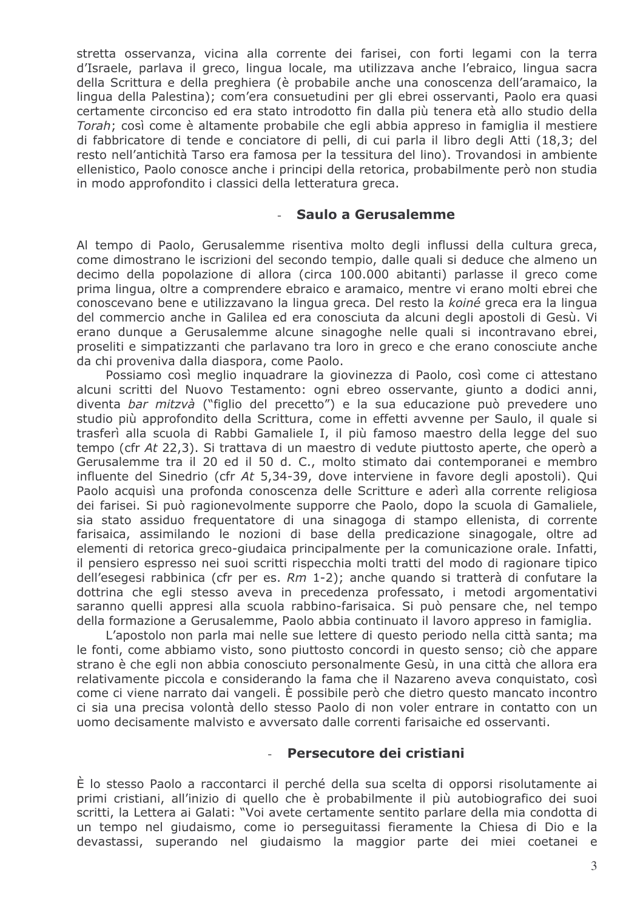stretta osservanza, vicina alla corrente dei farisei, con forti legami con la terra d'Israele, parlava il greco, lingua locale, ma utilizzava anche l'ebraico, lingua sacra della Scrittura e della preghiera (è probabile anche una conoscenza dell'aramaico, la lingua della Palestina); com'era consuetudini per gli ebrei osservanti, Paolo era guasi certamente circonciso ed era stato introdotto fin dalla più tenera età allo studio della Torah; così come è altamente probabile che egli abbia appreso in famiglia il mestiere di fabbricatore di tende e conciatore di pelli, di cui parla il libro degli Atti (18,3; del resto nell'antichità Tarso era famosa per la tessitura del lino). Trovandosi in ambiente ellenistico, Paolo conosce anche i principi della retorica, probabilmente però non studia in modo approfondito i classici della letteratura greca.

#### Saulo a Gerusalemme

Al tempo di Paolo, Gerusalemme risentiva molto degli influssi della cultura greca, come dimostrano le iscrizioni del secondo tempio, dalle quali si deduce che almeno un decimo della popolazione di allora (circa 100.000 abitanti) parlasse il greco come prima lingua, oltre a comprendere ebraico e aramaico, mentre vi erano molti ebrei che conoscevano bene e utilizzavano la lingua greca. Del resto la koiné greca era la lingua del commercio anche in Galilea ed era conosciuta da alcuni degli apostoli di Gesù. Vi erano dungue a Gerusalemme alcune sinagoghe nelle quali si incontravano ebrei, proseliti e simpatizzanti che parlavano tra loro in greco e che erano conosciute anche da chi proveniva dalla diaspora, come Paolo.

Possiamo così meglio inguadrare la giovinezza di Paolo, così come ci attestano alcuni scritti del Nuovo Testamento: ogni ebreo osservante, giunto a dodici anni, diventa bar mitzvà ("figlio del precetto") e la sua educazione può prevedere uno studio più approfondito della Scrittura, come in effetti avvenne per Saulo, il quale si trasferì alla scuola di Rabbi Gamaliele I, il più famoso maestro della legge del suo tempo (cfr At 22,3). Si trattava di un maestro di vedute piuttosto aperte, che operò a Gerusalemme tra il 20 ed il 50 d. C., molto stimato dai contemporanei e membro influente del Sinedrio (cfr At 5,34-39, dove interviene in favore degli apostoli). Qui Paolo acquisì una profonda conoscenza delle Scritture e aderì alla corrente religiosa dei farisei. Si può ragionevolmente supporre che Paolo, dopo la scuola di Gamaliele, sia stato assiduo frequentatore di una sinagoga di stampo ellenista, di corrente farisaica, assimilando le nozioni di base della predicazione sinagogale, oltre ad elementi di retorica greco-giudaica principalmente per la comunicazione orale. Infatti, il pensiero espresso nei suoi scritti rispecchia molti tratti del modo di ragionare tipico dell'esegesi rabbinica (cfr per es. Rm 1-2); anche quando si tratterà di confutare la dottrina che egli stesso aveva in precedenza professato, i metodi argomentativi saranno quelli appresi alla scuola rabbino-farisaica. Si può pensare che, nel tempo della formazione a Gerusalemme, Paolo abbia continuato il lavoro appreso in famiglia.

L'apostolo non parla mai nelle sue lettere di questo periodo nella città santa; ma le fonti, come abbiamo visto, sono piuttosto concordi in questo senso; ciò che appare strano è che egli non abbia conosciuto personalmente Gesù, in una città che allora era relativamente piccola e considerando la fama che il Nazareno aveva conquistato, così come ci viene narrato dai vangeli. È possibile però che dietro questo mancato incontro ci sia una precisa volontà dello stesso Paolo di non voler entrare in contatto con un uomo decisamente malvisto e avversato dalle correnti farisaiche ed osservanti.

#### Persecutore dei cristiani

È lo stesso Paolo a raccontarci il perché della sua scelta di opporsi risolutamente ai primi cristiani, all'inizio di quello che è probabilmente il più autobiografico dei suoi scritti, la Lettera ai Galati: "Voi avete certamente sentito parlare della mia condotta di un tempo nel giudaismo, come io perseguitassi fieramente la Chiesa di Dio e la devastassi, superando nel giudaismo la maggior parte dei miei coetanei e